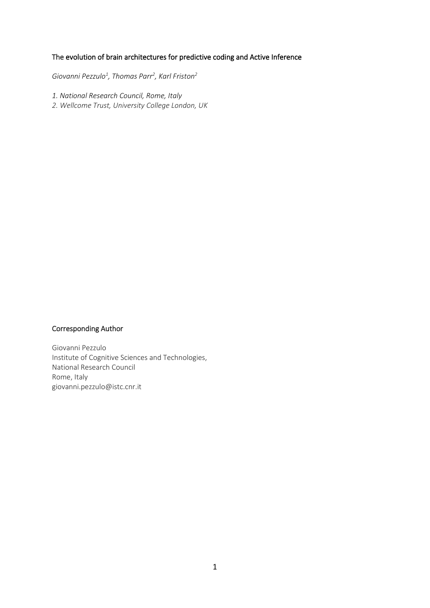## The evolution of brain architectures for predictive coding and Active Inference

*Giovanni Pezzulo<sup>1</sup> , Thomas Parr<sup>2</sup> , Karl Friston<sup>2</sup>*

*1. National Research Council, Rome, Italy*

*2. Wellcome Trust, University College London, UK*

### Corresponding Author

Giovanni Pezzulo Institute of Cognitive Sciences and Technologies, National Research Council Rome, Italy giovanni.pezzulo@istc.cnr.it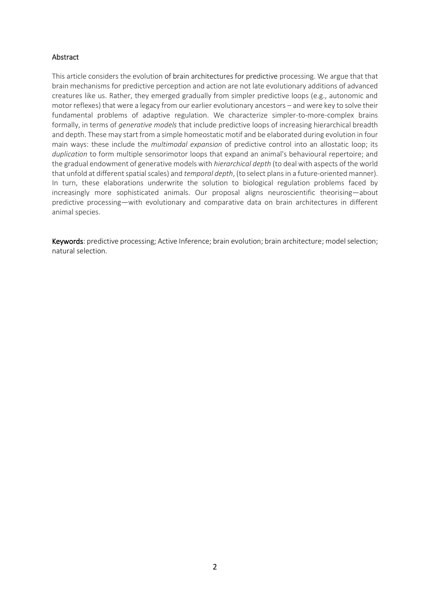#### Abstract

This article considers the evolution of brain architectures for predictive processing. We argue that that brain mechanisms for predictive perception and action are not late evolutionary additions of advanced creatures like us. Rather, they emerged gradually from simpler predictive loops (e.g., autonomic and motor reflexes) that were a legacy from our earlier evolutionary ancestors – and were key to solve their fundamental problems of adaptive regulation. We characterize simpler-to-more-complex brains formally, in terms of *generative models* that include predictive loops of increasing hierarchical breadth and depth. These may start from a simple homeostatic motif and be elaborated during evolution in four main ways: these include the *multimodal expansion* of predictive control into an allostatic loop; its *duplication* to form multiple sensorimotor loops that expand an animal's behavioural repertoire; and the gradual endowment of generative models with *hierarchical depth* (to deal with aspects of the world that unfold at different spatial scales) and *temporal depth*, (to select plans in a future-oriented manner). In turn, these elaborations underwrite the solution to biological regulation problems faced by increasingly more sophisticated animals. Our proposal aligns neuroscientific theorising—about predictive processing—with evolutionary and comparative data on brain architectures in different animal species.

Keywords: predictive processing; Active Inference; brain evolution; brain architecture; model selection; natural selection.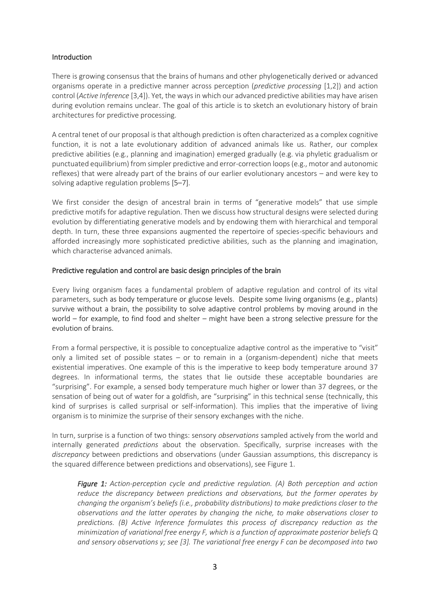#### Introduction

There is growing consensus that the brains of humans and other phylogenetically derived or advanced organisms operate in a predictive manner across perception (*predictive processing* [1,2]) and action control (*Active Inference* [3,4]). Yet, the ways in which our advanced predictive abilities may have arisen during evolution remains unclear. The goal of this article is to sketch an evolutionary history of brain architectures for predictive processing.

A central tenet of our proposal is that although prediction is often characterized as a complex cognitive function, it is not a late evolutionary addition of advanced animals like us. Rather, our complex predictive abilities (e.g., planning and imagination) emerged gradually (e.g. via phyletic gradualism or punctuated equilibrium) from simpler predictive and error-correction loops (e.g., motor and autonomic reflexes) that were already part of the brains of our earlier evolutionary ancestors – and were key to solving adaptive regulation problems [5–7].

We first consider the design of ancestral brain in terms of "generative models" that use simple predictive motifs for adaptive regulation. Then we discuss how structural designs were selected during evolution by differentiating generative models and by endowing them with hierarchical and temporal depth. In turn, these three expansions augmented the repertoire of species-specific behaviours and afforded increasingly more sophisticated predictive abilities, such as the planning and imagination, which characterise advanced animals.

#### Predictive regulation and control are basic design principles of the brain

Every living organism faces a fundamental problem of adaptive regulation and control of its vital parameters, such as body temperature or glucose levels. Despite some living organisms (e.g., plants) survive without a brain, the possibility to solve adaptive control problems by moving around in the world – for example, to find food and shelter – might have been a strong selective pressure for the evolution of brains.

From a formal perspective, it is possible to conceptualize adaptive control as the imperative to "visit" only a limited set of possible states  $-$  or to remain in a (organism-dependent) niche that meets existential imperatives. One example of this is the imperative to keep body temperature around 37 degrees. In informational terms, the states that lie outside these acceptable boundaries are "surprising". For example, a sensed body temperature much higher or lower than 37 degrees, or the sensation of being out of water for a goldfish, are "surprising" in this technical sense (technically, this kind of surprises is called surprisal or self-information). This implies that the imperative of living organism is to minimize the surprise of their sensory exchanges with the niche.

In turn, surprise is a function of two things: sensory *observations* sampled actively from the world and internally generated *predictions* about the observation. Specifically, surprise increases with the *discrepancy* between predictions and observations (under Gaussian assumptions, this discrepancy is the squared difference between predictions and observations), see Figure 1.

*Figure 1: Action-perception cycle and predictive regulation. (A) Both perception and action reduce the discrepancy between predictions and observations, but the former operates by changing the organism's beliefs (i.e., probability distributions) to make predictions closer to the observations and the latter operates by changing the niche, to make observations closer to predictions. (B) Active Inference formulates this process of discrepancy reduction as the minimization of variational free energy F, which is a function of approximate posterior beliefs Q and sensory observations y; see [3]. The variational free energy F can be decomposed into two*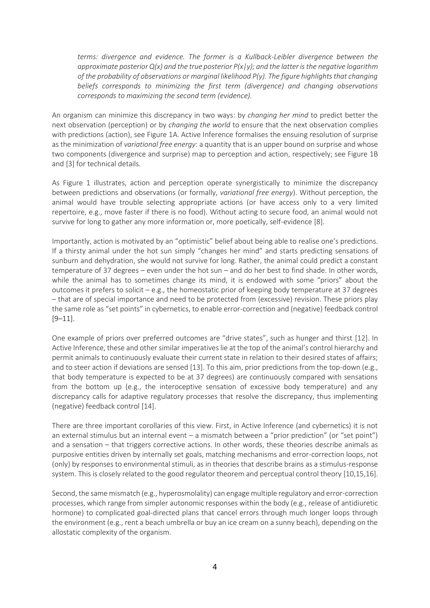*terms: divergence and evidence. The former is a Kullback-Leibler divergence between the approximate posterior Q(x) and the true posterior P(x|y); and the latter is the negative logarithm of the probability of observations or marginal likelihood P(y). The figure highlights that changing beliefs corresponds to minimizing the first term (divergence) and changing observations corresponds to maximizing the second term (evidence).*

An organism can minimize this discrepancy in two ways: by *changing her mind* to predict better the next observation (perception) or by *changing the world* to ensure that the next observation complies with predictions (action), see Figure 1A. Active Inference formalises the ensuing resolution of surprise as the minimization of *variational free energy*: a quantity that is an upper bound on surprise and whose two components (divergence and surprise) map to perception and action, respectively; see Figure 1B and [3] for technical details.

As Figure 1 illustrates, action and perception operate synergistically to minimize the discrepancy between predictions and observations (or formally, *variational free energy*). Without perception, the animal would have trouble selecting appropriate actions (or have access only to a very limited repertoire, e.g., move faster if there is no food). Without acting to secure food, an animal would not survive for long to gather any more information or, more poetically, self-evidence [8].

Importantly, action is motivated by an "optimistic" belief about being able to realise one's predictions. If a thirsty animal under the hot sun simply "changes her mind" and starts predicting sensations of sunburn and dehydration, she would not survive for long. Rather, the animal could predict a constant temperature of 37 degrees – even under the hot sun – and do her best to find shade. In other words, while the animal has to sometimes change its mind, it is endowed with some "priors" about the outcomes it prefers to solicit – e.g., the homeostatic prior of keeping body temperature at 37 degrees – that are of special importance and need to be protected from (excessive) revision. These priors play the same role as "set points" in cybernetics, to enable error-correction and (negative) feedback control [9–11].

One example of priors over preferred outcomes are "drive states", such as hunger and thirst [12]. In Active Inference, these and other similar imperatives lie at the top of the animal's control hierarchy and permit animals to continuously evaluate their current state in relation to their desired states of affairs; and to steer action if deviations are sensed [13]. To this aim, prior predictions from the top-down (e.g., that body temperature is expected to be at 37 degrees) are continuously compared with sensations from the bottom up (e.g., the interoceptive sensation of excessive body temperature) and any discrepancy calls for adaptive regulatory processes that resolve the discrepancy, thus implementing (negative) feedback control [14].

There are three important corollaries of this view. First, in Active Inference (and cybernetics) it is not an external stimulus but an internal event – a mismatch between a "prior prediction" (or "set point") and a sensation – that triggers corrective actions. In other words, these theories describe animals as purposive entities driven by internally set goals, matching mechanisms and error-correction loops, not (only) by responses to environmental stimuli, as in theories that describe brains as a stimulus-response system. This is closely related to the good regulator theorem and perceptual control theory [10,15,16].

Second, the same mismatch (e.g., hyperosmolality) can engage multiple regulatory and error-correction processes, which range from simpler autonomic responses within the body (e.g., release of antidiuretic hormone) to complicated goal-directed plans that cancel errors through much longer loops through the environment (e.g., rent a beach umbrella or buy an ice cream on a sunny beach), depending on the allostatic complexity of the organism.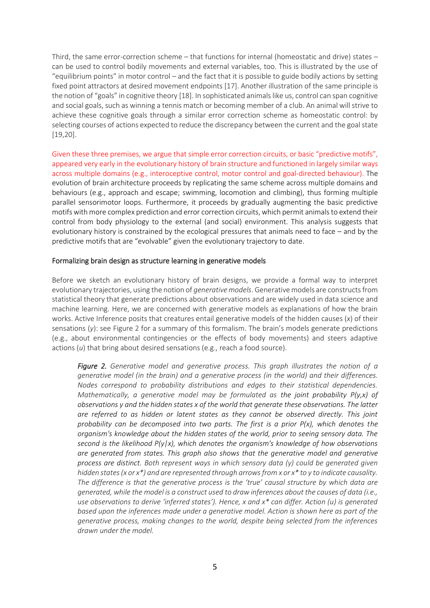Third, the same error-correction scheme – that functions for internal (homeostatic and drive) states – can be used to control bodily movements and external variables, too. This is illustrated by the use of "equilibrium points" in motor control – and the fact that it is possible to guide bodily actions by setting fixed point attractors at desired movement endpoints [17]. Another illustration of the same principle is the notion of "goals" in cognitive theory [18]. In sophisticated animals like us, control can span cognitive and social goals, such as winning a tennis match or becoming member of a club. An animal will strive to achieve these cognitive goals through a similar error correction scheme as homeostatic control: by selecting courses of actions expected to reduce the discrepancy between the current and the goal state [19,20].

Given these three premises, we argue that simple error correction circuits, or basic "predictive motifs", appeared very early in the evolutionary history of brain structure and functioned in largely similar ways across multiple domains (e.g., interoceptive control, motor control and goal-directed behaviour). The evolution of brain architecture proceeds by replicating the same scheme across multiple domains and behaviours (e.g., approach and escape; swimming, locomotion and climbing), thus forming multiple parallel sensorimotor loops. Furthermore, it proceeds by gradually augmenting the basic predictive motifs with more complex prediction and error correction circuits, which permit animals to extend their control from body physiology to the external (and social) environment. This analysis suggests that evolutionary history is constrained by the ecological pressures that animals need to face – and by the predictive motifs that are "evolvable" given the evolutionary trajectory to date.

#### Formalizing brain design as structure learning in generative models

Before we sketch an evolutionary history of brain designs, we provide a formal way to interpret evolutionary trajectories, using the notion of *generative models*. Generative models are constructs from statistical theory that generate predictions about observations and are widely used in data science and machine learning. Here, we are concerned with generative models as explanations of how the brain works. Active Inference posits that creatures entail generative models of the hidden causes (*x*) of their sensations (*y*): see Figure 2 for a summary of this formalism. The brain's models generate predictions (e.g., about environmental contingencies or the effects of body movements) and steers adaptive actions (*u*) that bring about desired sensations (e.g., reach a food source).

*Figure 2. Generative model and generative process. This graph illustrates the notion of a generative model (in the brain) and a generative process (in the world) and their differences. Nodes correspond to probability distributions and edges to their statistical dependencies. Mathematically, a generative model may be formulated as the joint probability P(y,x) of observations y and the hidden states x of the world that generate these observations. The latter are referred to as hidden or latent states as they cannot be observed directly. This joint probability can be decomposed into two parts. The first is a prior P(x), which denotes the organism's knowledge about the hidden states of the world, prior to seeing sensory data. The second is the likelihood P(y|x), which denotes the organism's knowledge of how observations are generated from states. This graph also shows that the generative model and generative process are distinct. Both represent ways in which sensory data (y) could be generated given hidden states (x or x\*) and are represented through arrows from x or x\* to y to indicate causality. The difference is that the generative process is the 'true' causal structure by which data are generated, while the model is a construct used to draw inferences about the causes of data (i.e., use observations to derive 'inferred states'). Hence, x and x\* can differ. Action (u) is generated based upon the inferences made under a generative model. Action is shown here as part of the generative process, making changes to the world, despite being selected from the inferences drawn under the model.*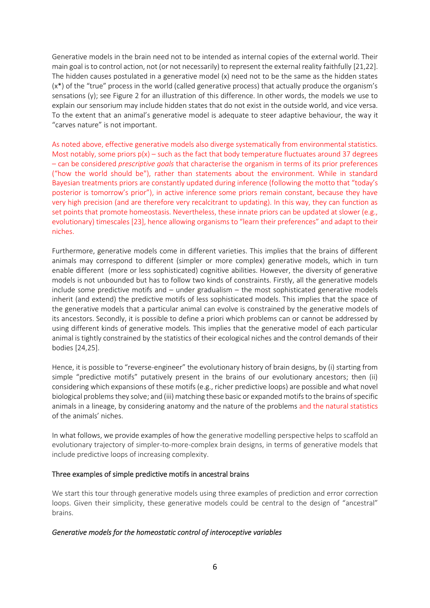Generative models in the brain need not to be intended as internal copies of the external world. Their main goal is to control action, not (or not necessarily) to represent the external reality faithfully [21,22]. The hidden causes postulated in a generative model (x) need not to be the same as the hidden states (x\*) of the "true" process in the world (called generative process) that actually produce the organism's sensations (y); see Figure 2 for an illustration of this difference. In other words, the models we use to explain our sensorium may include hidden states that do not exist in the outside world, and vice versa. To the extent that an animal's generative model is adequate to steer adaptive behaviour, the way it "carves nature" is not important.

As noted above, effective generative models also diverge systematically from environmental statistics. Most notably, some priors  $p(x)$  – such as the fact that body temperature fluctuates around 37 degrees – can be considered *prescriptive goals* that characterise the organism in terms of its prior preferences ("how the world should be"), rather than statements about the environment. While in standard Bayesian treatments priors are constantly updated during inference (following the motto that "today's posterior is tomorrow's prior"), in active inference some priors remain constant, because they have very high precision (and are therefore very recalcitrant to updating). In this way, they can function as set points that promote homeostasis. Nevertheless, these innate priors can be updated at slower (e.g., evolutionary) timescales [23], hence allowing organisms to "learn their preferences" and adapt to their niches.

Furthermore, generative models come in different varieties. This implies that the brains of different animals may correspond to different (simpler or more complex) generative models, which in turn enable different (more or less sophisticated) cognitive abilities. However, the diversity of generative models is not unbounded but has to follow two kinds of constraints. Firstly, all the generative models include some predictive motifs and – under gradualism – the most sophisticated generative models inherit (and extend) the predictive motifs of less sophisticated models. This implies that the space of the generative models that a particular animal can evolve is constrained by the generative models of its ancestors. Secondly, it is possible to define a priori which problems can or cannot be addressed by using different kinds of generative models. This implies that the generative model of each particular animal is tightly constrained by the statistics of their ecological niches and the control demands of their bodies [24,25].

Hence, it is possible to "reverse-engineer" the evolutionary history of brain designs, by (i) starting from simple "predictive motifs" putatively present in the brains of our evolutionary ancestors; then (ii) considering which expansions of these motifs (e.g., richer predictive loops) are possible and what novel biological problems they solve; and (iii) matching these basic or expanded motifs to the brains of specific animals in a lineage, by considering anatomy and the nature of the problems and the natural statistics of the animals' niches.

In what follows, we provide examples of how the generative modelling perspective helps to scaffold an evolutionary trajectory of simpler-to-more-complex brain designs, in terms of generative models that include predictive loops of increasing complexity.

#### Three examples of simple predictive motifs in ancestral brains

We start this tour through generative models using three examples of prediction and error correction loops. Given their simplicity, these generative models could be central to the design of "ancestral" brains.

## *Generative models for the homeostatic control of interoceptive variables*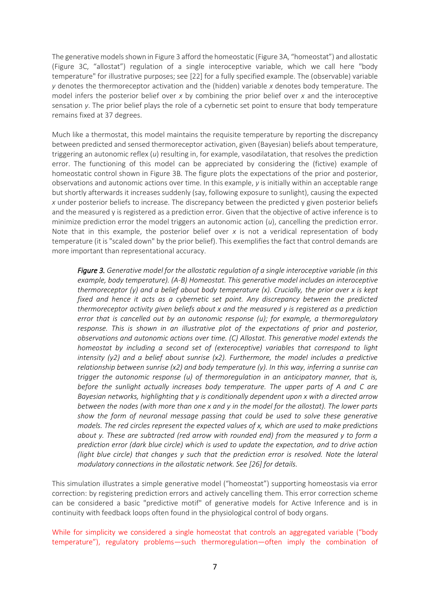The generative models shown in Figure 3 afford the homeostatic (Figure 3A, "homeostat") and allostatic (Figure 3C, "allostat") regulation of a single interoceptive variable, which we call here "body temperature" for illustrative purposes; see [22] for a fully specified example. The (observable) variable *y* denotes the thermoreceptor activation and the (hidden) variable *x* denotes body temperature. The model infers the posterior belief over *x* by combining the prior belief over *x* and the interoceptive sensation *y*. The prior belief plays the role of a cybernetic set point to ensure that body temperature remains fixed at 37 degrees.

Much like a thermostat, this model maintains the requisite temperature by reporting the discrepancy between predicted and sensed thermoreceptor activation, given (Bayesian) beliefs about temperature, triggering an autonomic reflex (*u*) resulting in, for example, vasodilatation, that resolves the prediction error. The functioning of this model can be appreciated by considering the (fictive) example of homeostatic control shown in Figure 3B. The figure plots the expectations of the prior and posterior, observations and autonomic actions over time. In this example, *y* is initially within an acceptable range but shortly afterwards it increases suddenly (say, following exposure to sunlight), causing the expected *x* under posterior beliefs to increase. The discrepancy between the predicted y given posterior beliefs and the measured y is registered as a prediction error. Given that the objective of active inference is to minimize prediction error the model triggers an autonomic action (*u*), cancelling the prediction error. Note that in this example, the posterior belief over *x* is not a veridical representation of body temperature (it is "scaled down" by the prior belief). This exemplifies the fact that control demands are more important than representational accuracy.

*Figure 3. Generative model for the allostatic regulation of a single interoceptive variable (in this example, body temperature). (A-B) Homeostat. This generative model includes an interoceptive thermoreceptor (y) and a belief about body temperature (x). Crucially, the prior over x is kept fixed and hence it acts as a cybernetic set point. Any discrepancy between the predicted thermoreceptor activity given beliefs about x and the measured y is registered as a prediction error that is cancelled out by an autonomic response (u); for example, a thermoregulatory response. This is shown in an illustrative plot of the expectations of prior and posterior, observations and autonomic actions over time. (C) Allostat. This generative model extends the homeostat by including a second set of (exteroceptive) variables that correspond to light intensity (y2) and a belief about sunrise (x2). Furthermore, the model includes a predictive relationship between sunrise (x2) and body temperature (y). In this way, inferring a sunrise can trigger the autonomic response (u) of thermoregulation in an anticipatory manner, that is, before the sunlight actually increases body temperature. The upper parts of A and C are Bayesian networks, highlighting that y is conditionally dependent upon x with a directed arrow between the nodes (with more than one x and y in the model for the allostat). The lower parts show the form of neuronal message passing that could be used to solve these generative models. The red circles represent the expected values of x, which are used to make predictions about y. These are subtracted (red arrow with rounded end) from the measured y to form a prediction error (dark blue circle) which is used to update the expectation, and to drive action (light blue circle) that changes y such that the prediction error is resolved. Note the lateral modulatory connections in the allostatic network. See [26] for details.*

This simulation illustrates a simple generative model ("homeostat") supporting homeostasis via error correction: by registering prediction errors and actively cancelling them. This error correction scheme can be considered a basic "predictive motif" of generative models for Active Inference and is in continuity with feedback loops often found in the physiological control of body organs.

While for simplicity we considered a single homeostat that controls an aggregated variable ("body temperature"), regulatory problems—such thermoregulation—often imply the combination of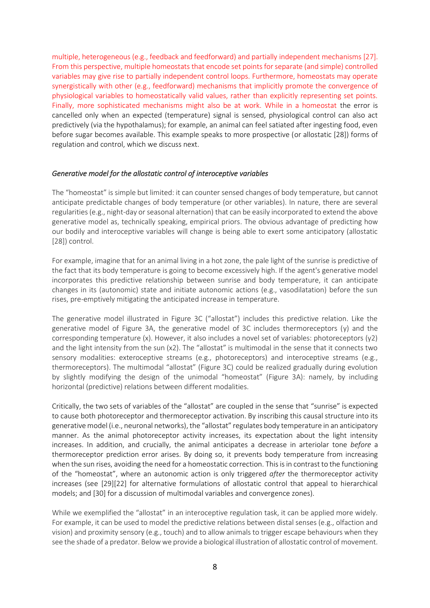multiple, heterogeneous (e.g., feedback and feedforward) and partially independent mechanisms [27]. From this perspective, multiple homeostats that encode set points for separate (and simple) controlled variables may give rise to partially independent control loops. Furthermore, homeostats may operate synergistically with other (e.g., feedforward) mechanisms that implicitly promote the convergence of physiological variables to homeostatically valid values, rather than explicitly representing set points. Finally, more sophisticated mechanisms might also be at work. While in a homeostat the error is cancelled only when an expected (temperature) signal is sensed, physiological control can also act predictively (via the hypothalamus); for example, an animal can feel satiated after ingesting food, even before sugar becomes available. This example speaks to more prospective (or allostatic [28]) forms of regulation and control, which we discuss next.

#### *Generative model for the allostatic control of interoceptive variables*

The "homeostat" is simple but limited: it can counter sensed changes of body temperature, but cannot anticipate predictable changes of body temperature (or other variables). In nature, there are several regularities (e.g., night-day or seasonal alternation) that can be easily incorporated to extend the above generative model as, technically speaking, empirical priors. The obvious advantage of predicting how our bodily and interoceptive variables will change is being able to exert some anticipatory (allostatic [28]) control.

For example, imagine that for an animal living in a hot zone, the pale light of the sunrise is predictive of the fact that its body temperature is going to become excessively high. If the agent's generative model incorporates this predictive relationship between sunrise and body temperature, it can anticipate changes in its (autonomic) state and initiate autonomic actions (e.g., vasodilatation) before the sun rises, pre-emptively mitigating the anticipated increase in temperature.

The generative model illustrated in Figure 3C ("allostat") includes this predictive relation. Like the generative model of Figure 3A, the generative model of 3C includes thermoreceptors (y) and the corresponding temperature (x). However, it also includes a novel set of variables: photoreceptors (y2) and the light intensity from the sun (x2). The "allostat" is multimodal in the sense that it connects two sensory modalities: exteroceptive streams (e.g., photoreceptors) and interoceptive streams (e.g., thermoreceptors). The multimodal "allostat" (Figure 3C) could be realized gradually during evolution by slightly modifying the design of the unimodal "homeostat" (Figure 3A): namely, by including horizontal (predictive) relations between different modalities.

Critically, the two sets of variables of the "allostat" are coupled in the sense that "sunrise" is expected to cause both photoreceptor and thermoreceptor activation. By inscribing this causal structure into its generative model (i.e., neuronal networks), the "allostat" regulates body temperature in an anticipatory manner. As the animal photoreceptor activity increases, its expectation about the light intensity increases. In addition, and crucially, the animal anticipates a decrease in arteriolar tone *before* a thermoreceptor prediction error arises. By doing so, it prevents body temperature from increasing when the sun rises, avoiding the need for a homeostatic correction. This is in contrast to the functioning of the "homeostat", where an autonomic action is only triggered *after* the thermoreceptor activity increases (see [29][22] for alternative formulations of allostatic control that appeal to hierarchical models; and [30] for a discussion of multimodal variables and convergence zones).

While we exemplified the "allostat" in an interoceptive regulation task, it can be applied more widely. For example, it can be used to model the predictive relations between distal senses (e.g., olfaction and vision) and proximity sensory (e.g., touch) and to allow animals to trigger escape behaviours when they see the shade of a predator. Below we provide a biological illustration of allostatic control of movement.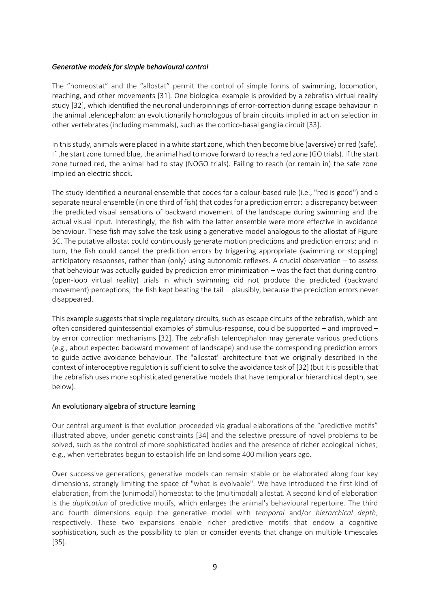### *Generative models for simple behavioural control*

The "homeostat" and the "allostat" permit the control of simple forms of swimming, locomotion, reaching, and other movements [31]. One biological example is provided by a zebrafish virtual reality study [32], which identified the neuronal underpinnings of error-correction during escape behaviour in the animal telencephalon: an evolutionarily homologous of brain circuits implied in action selection in other vertebrates (including mammals), such as the cortico-basal ganglia circuit [33].

In this study, animals were placed in a white start zone, which then become blue (aversive) or red (safe). If the start zone turned blue, the animal had to move forward to reach a red zone (GO trials). If the start zone turned red, the animal had to stay (NOGO trials). Failing to reach (or remain in) the safe zone implied an electric shock.

The study identified a neuronal ensemble that codes for a colour-based rule (i.e., "red is good") and a separate neural ensemble (in one third of fish) that codesfor a prediction error: a discrepancy between the predicted visual sensations of backward movement of the landscape during swimming and the actual visual input. Interestingly, the fish with the latter ensemble were more effective in avoidance behaviour. These fish may solve the task using a generative model analogous to the allostat of Figure 3C. The putative allostat could continuously generate motion predictions and prediction errors; and in turn, the fish could cancel the prediction errors by triggering appropriate (swimming or stopping) anticipatory responses, rather than (only) using autonomic reflexes. A crucial observation – to assess that behaviour was actually guided by prediction error minimization – was the fact that during control (open-loop virtual reality) trials in which swimming did not produce the predicted (backward movement) perceptions, the fish kept beating the tail – plausibly, because the prediction errors never disappeared.

This example suggests that simple regulatory circuits, such as escape circuits of the zebrafish, which are often considered quintessential examples of stimulus-response, could be supported – and improved – by error correction mechanisms [32]. The zebrafish telencephalon may generate various predictions (e.g., about expected backward movement of landscape) and use the corresponding prediction errors to guide active avoidance behaviour. The "allostat" architecture that we originally described in the context of interoceptive regulation is sufficient to solve the avoidance task of [32] (but it is possible that the zebrafish uses more sophisticated generative models that have temporal or hierarchical depth, see below).

#### An evolutionary algebra of structure learning

Our central argument is that evolution proceeded via gradual elaborations of the "predictive motifs" illustrated above, under genetic constraints [34] and the selective pressure of novel problems to be solved, such as the control of more sophisticated bodies and the presence of richer ecological niches; e.g., when vertebrates begun to establish life on land some 400 million years ago.

Over successive generations, generative models can remain stable or be elaborated along four key dimensions, strongly limiting the space of "what is evolvable". We have introduced the first kind of elaboration, from the (unimodal) homeostat to the (multimodal) allostat. A second kind of elaboration is the *duplication* of predictive motifs, which enlarges the animal's behavioural repertoire. The third and fourth dimensions equip the generative model with *temporal* and/or *hierarchical depth*, respectively. These two expansions enable richer predictive motifs that endow a cognitive sophistication, such as the possibility to plan or consider events that change on multiple timescales [35].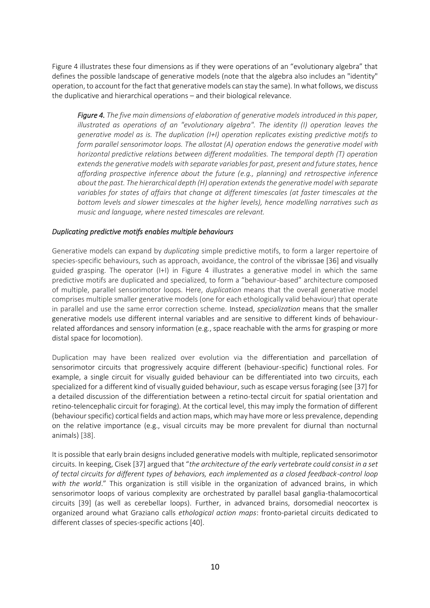Figure 4 illustrates these four dimensions as if they were operations of an "evolutionary algebra" that defines the possible landscape of generative models (note that the algebra also includes an "identity" operation, to account for the fact that generative models can stay the same). In what follows, we discuss the duplicative and hierarchical operations – and their biological relevance.

*Figure 4. The five main dimensions of elaboration of generative models introduced in this paper, illustrated as operations of an "evolutionary algebra". The identity (I) operation leaves the generative model as is. The duplication (I+I) operation replicates existing predictive motifs to form parallel sensorimotor loops. The allostat (A) operation endows the generative model with horizontal predictive relations between different modalities. The temporal depth (T) operation extends the generative models with separate variables for past, present and future states, hence affording prospective inference about the future (e.g., planning) and retrospective inference about the past. The hierarchical depth (H) operation extends the generative model with separate variables for states of affairs that change at different timescales (at faster timescales at the bottom levels and slower timescales at the higher levels), hence modelling narratives such as music and language, where nested timescales are relevant.* 

#### *Duplicating predictive motifs enables multiple behaviours*

Generative models can expand by *duplicating* simple predictive motifs, to form a larger repertoire of species-specific behaviours, such as approach, avoidance, the control of the vibrissae [36] and visually guided grasping. The operator (I+I) in Figure 4 illustrates a generative model in which the same predictive motifs are duplicated and specialized, to form a "behaviour-based" architecture composed of multiple, parallel sensorimotor loops. Here, *duplication* means that the overall generative model comprises multiple smaller generative models (one for each ethologically valid behaviour) that operate in parallel and use the same error correction scheme. Instead, *specialization* means that the smaller generative models use different internal variables and are sensitive to different kinds of behaviourrelated affordances and sensory information (e.g., space reachable with the arms for grasping or more distal space for locomotion).

Duplication may have been realized over evolution via the differentiation and parcellation of sensorimotor circuits that progressively acquire different (behaviour-specific) functional roles. For example, a single circuit for visually guided behaviour can be differentiated into two circuits, each specialized for a different kind of visually guided behaviour, such as escape versus foraging (see [37] for a detailed discussion of the differentiation between a retino-tectal circuit for spatial orientation and retino-telencephalic circuit for foraging). At the cortical level, this may imply the formation of different (behaviour specific) cortical fields and action maps, which may have more or less prevalence, depending on the relative importance (e.g., visual circuits may be more prevalent for diurnal than nocturnal animals) [38].

It is possible that early brain designs included generative models with multiple, replicated sensorimotor circuits. In keeping, Cisek [37] argued that "*the architecture of the early vertebrate could consist in a set of tectal circuits for different types of behaviors, each implemented as a closed feedback-control loop with the world*." This organization is still visible in the organization of advanced brains, in which sensorimotor loops of various complexity are orchestrated by parallel basal ganglia-thalamocortical circuits [39] (as well as cerebellar loops). Further, in advanced brains, dorsomedial neocortex is organized around what Graziano calls *ethological action maps*: fronto-parietal circuits dedicated to different classes of species-specific actions [40].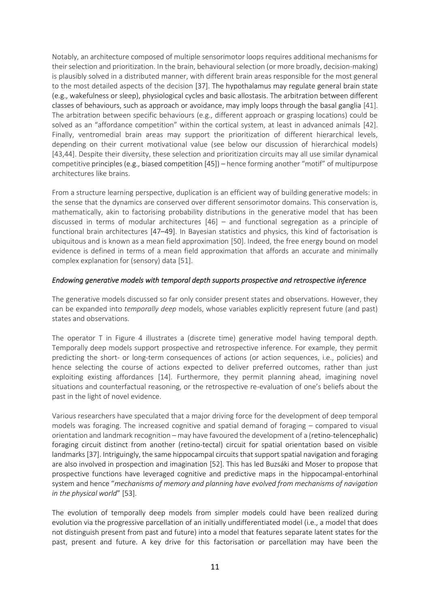Notably, an architecture composed of multiple sensorimotor loops requires additional mechanisms for their selection and prioritization. In the brain, behavioural selection (or more broadly, decision-making) is plausibly solved in a distributed manner, with different brain areas responsible for the most general to the most detailed aspects of the decision [37]. The hypothalamus may regulate general brain state (e.g., wakefulness or sleep), physiological cycles and basic allostasis. The arbitration between different classes of behaviours, such as approach or avoidance, may imply loops through the basal ganglia [41]. The arbitration between specific behaviours (e.g., different approach or grasping locations) could be solved as an "affordance competition" within the cortical system, at least in advanced animals [42]. Finally, ventromedial brain areas may support the prioritization of different hierarchical levels, depending on their current motivational value (see below our discussion of hierarchical models) [43,44]. Despite their diversity, these selection and prioritization circuits may all use similar dynamical competitive principles (e.g., biased competition [45]) – hence forming another "motif" of multipurpose architectures like brains.

From a structure learning perspective, duplication is an efficient way of building generative models: in the sense that the dynamics are conserved over different sensorimotor domains. This conservation is, mathematically, akin to factorising probability distributions in the generative model that has been discussed in terms of modular architectures [46] – and functional segregation as a principle of functional brain architectures [47–49]. In Bayesian statistics and physics, this kind of factorisation is ubiquitous and is known as a mean field approximation [50]. Indeed, the free energy bound on model evidence is defined in terms of a mean field approximation that affords an accurate and minimally complex explanation for (sensory) data [51].

## *Endowing generative models with temporal depth supports prospective and retrospective inference*

The generative models discussed so far only consider present states and observations. However, they can be expanded into *temporally deep* models, whose variables explicitly represent future (and past) states and observations.

The operator T in Figure 4 illustrates a (discrete time) generative model having temporal depth. Temporally deep models support prospective and retrospective inference. For example, they permit predicting the short- or long-term consequences of actions (or action sequences, i.e., policies) and hence selecting the course of actions expected to deliver preferred outcomes, rather than just exploiting existing affordances [14]. Furthermore, they permit planning ahead, imagining novel situations and counterfactual reasoning, or the retrospective re-evaluation of one's beliefs about the past in the light of novel evidence.

Various researchers have speculated that a major driving force for the development of deep temporal models was foraging. The increased cognitive and spatial demand of foraging – compared to visual orientation and landmark recognition – may have favoured the development of a (retino-telencephalic) foraging circuit distinct from another (retino-tectal) circuit for spatial orientation based on visible landmarks [37]. Intriguingly, the same hippocampal circuits that support spatial navigation and foraging are also involved in prospection and imagination [52]. This has led Buzsáki and Moser to propose that prospective functions have leveraged cognitive and predictive maps in the hippocampal-entorhinal system and hence "*mechanisms of memory and planning have evolved from mechanisms of navigation in the physical world*" [53].

The evolution of temporally deep models from simpler models could have been realized during evolution via the progressive parcellation of an initially undifferentiated model (i.e., a model that does not distinguish present from past and future) into a model that features separate latent states for the past, present and future. A key drive for this factorisation or parcellation may have been the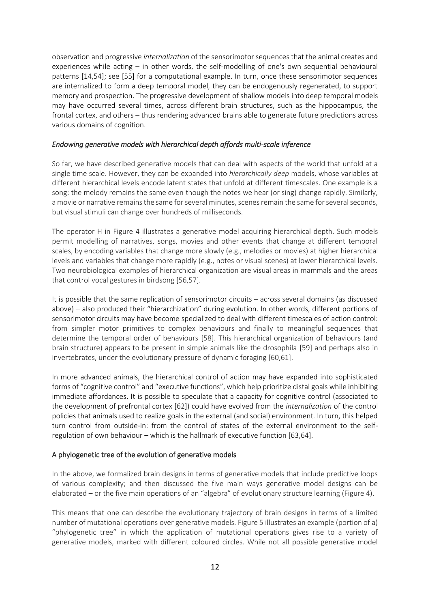observation and progressive *internalization* of the sensorimotor sequences that the animal creates and experiences while acting – in other words, the self-modelling of one's own sequential behavioural patterns [14,54]; see [55] for a computational example. In turn, once these sensorimotor sequences are internalized to form a deep temporal model, they can be endogenously regenerated, to support memory and prospection. The progressive development of shallow models into deep temporal models may have occurred several times, across different brain structures, such as the hippocampus, the frontal cortex, and others – thus rendering advanced brains able to generate future predictions across various domains of cognition.

### *Endowing generative models with hierarchical depth affords multi-scale inference*

So far, we have described generative models that can deal with aspects of the world that unfold at a single time scale. However, they can be expanded into *hierarchically deep* models, whose variables at different hierarchical levels encode latent states that unfold at different timescales. One example is a song: the melody remains the same even though the notes we hear (or sing) change rapidly. Similarly, a movie or narrative remains the same for several minutes, scenes remain the same for several seconds, but visual stimuli can change over hundreds of milliseconds.

The operator H in Figure 4 illustrates a generative model acquiring hierarchical depth. Such models permit modelling of narratives, songs, movies and other events that change at different temporal scales, by encoding variables that change more slowly (e.g., melodies or movies) at higher hierarchical levels and variables that change more rapidly (e.g., notes or visual scenes) at lower hierarchical levels. Two neurobiological examples of hierarchical organization are visual areas in mammals and the areas that control vocal gestures in birdsong [56,57].

It is possible that the same replication of sensorimotor circuits – across several domains (as discussed above) – also produced their "hierarchization" during evolution. In other words, different portions of sensorimotor circuits may have become specialized to deal with different timescales of action control: from simpler motor primitives to complex behaviours and finally to meaningful sequences that determine the temporal order of behaviours [58]. This hierarchical organization of behaviours (and brain structure) appears to be present in simple animals like the drosophila [59] and perhaps also in invertebrates, under the evolutionary pressure of dynamic foraging [60,61].

In more advanced animals, the hierarchical control of action may have expanded into sophisticated forms of "cognitive control" and "executive functions", which help prioritize distal goals while inhibiting immediate affordances. It is possible to speculate that a capacity for cognitive control (associated to the development of prefrontal cortex [62]) could have evolved from the *internalization* of the control policies that animals used to realize goals in the external (and social) environment. In turn, this helped turn control from outside-in: from the control of states of the external environment to the selfregulation of own behaviour – which is the hallmark of executive function [63,64].

## A phylogenetic tree of the evolution of generative models

In the above, we formalized brain designs in terms of generative models that include predictive loops of various complexity; and then discussed the five main ways generative model designs can be elaborated – or the five main operations of an "algebra" of evolutionary structure learning (Figure 4).

This means that one can describe the evolutionary trajectory of brain designs in terms of a limited number of mutational operations over generative models. Figure 5 illustrates an example (portion of a) "phylogenetic tree" in which the application of mutational operations gives rise to a variety of generative models, marked with different coloured circles. While not all possible generative model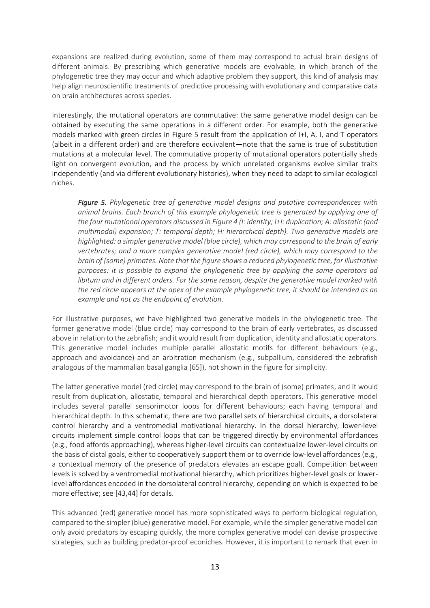expansions are realized during evolution, some of them may correspond to actual brain designs of different animals. By prescribing which generative models are evolvable, in which branch of the phylogenetic tree they may occur and which adaptive problem they support, this kind of analysis may help align neuroscientific treatments of predictive processing with evolutionary and comparative data on brain architectures across species.

Interestingly, the mutational operators are commutative: the same generative model design can be obtained by executing the same operations in a different order. For example, both the generative models marked with green circles in Figure 5 result from the application of I+I, A, I, and T operators (albeit in a different order) and are therefore equivalent—note that the same is true of substitution mutations at a molecular level. The commutative property of mutational operators potentially sheds light on convergent evolution, and the process by which unrelated organisms evolve similar traits independently (and via different evolutionary histories), when they need to adapt to similar ecological niches.

*Figure 5. Phylogenetic tree of generative model designs and putative correspondences with animal brains. Each branch of this example phylogenetic tree is generated by applying one of the four mutational operators discussed in Figure 4 (I: identity; I+I: duplication; A: allostatic (and multimodal) expansion; T: temporal depth; H: hierarchical depth). Two generative models are highlighted: a simpler generative model (blue circle), which may correspond to the brain of early vertebrates; and a more complex generative model (red circle), which may correspond to the brain of (some) primates. Note that the figure shows a reduced phylogenetic tree, for illustrative purposes: it is possible to expand the phylogenetic tree by applying the same operators ad libitum and in different orders. For the same reason, despite the generative model marked with the red circle appears at the apex of the example phylogenetic tree, it should be intended as an example and not as the endpoint of evolution.*

For illustrative purposes, we have highlighted two generative models in the phylogenetic tree. The former generative model (blue circle) may correspond to the brain of early vertebrates, as discussed above in relation to the zebrafish; and it would result from duplication, identity and allostatic operators. This generative model includes multiple parallel allostatic motifs for different behaviours (e.g., approach and avoidance) and an arbitration mechanism (e.g., subpallium, considered the zebrafish analogous of the mammalian basal ganglia [65]), not shown in the figure for simplicity.

The latter generative model (red circle) may correspond to the brain of (some) primates, and it would result from duplication, allostatic, temporal and hierarchical depth operators. This generative model includes several parallel sensorimotor loops for different behaviours; each having temporal and hierarchical depth. In this schematic, there are two parallel sets of hierarchical circuits, a dorsolateral control hierarchy and a ventromedial motivational hierarchy. In the dorsal hierarchy, lower-level circuits implement simple control loops that can be triggered directly by environmental affordances (e.g., food affords approaching), whereas higher-level circuits can contextualize lower-level circuits on the basis of distal goals, either to cooperatively support them or to override low-level affordances (e.g., a contextual memory of the presence of predators elevates an escape goal). Competition between levels is solved by a ventromedial motivational hierarchy, which prioritizes higher-level goals or lowerlevel affordances encoded in the dorsolateral control hierarchy, depending on which is expected to be more effective; see [43,44] for details.

This advanced (red) generative model has more sophisticated ways to perform biological regulation, compared to the simpler (blue) generative model. For example, while the simpler generative model can only avoid predators by escaping quickly, the more complex generative model can devise prospective strategies, such as building predator-proof econiches. However, it is important to remark that even in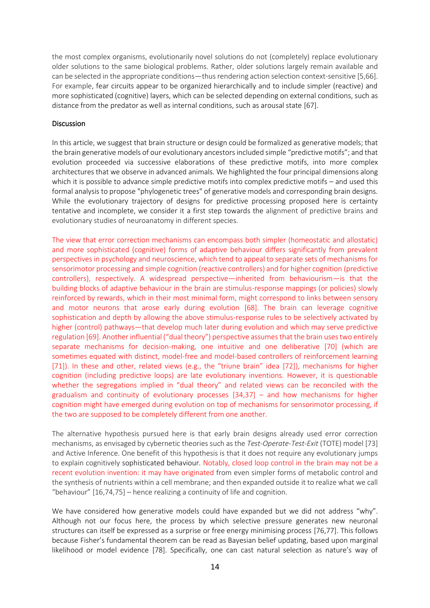the most complex organisms, evolutionarily novel solutions do not (completely) replace evolutionary older solutions to the same biological problems. Rather, older solutions largely remain available and can be selected in the appropriate conditions—thus rendering action selection context-sensitive [5,66]. For example, fear circuits appear to be organized hierarchically and to include simpler (reactive) and more sophisticated (cognitive) layers, which can be selected depending on external conditions, such as distance from the predator as well as internal conditions, such as arousal state [67].

#### **Discussion**

In this article, we suggest that brain structure or design could be formalized as generative models; that the brain generative models of our evolutionary ancestors included simple "predictive motifs"; and that evolution proceeded via successive elaborations of these predictive motifs, into more complex architectures that we observe in advanced animals. We highlighted the four principal dimensions along which it is possible to advance simple predictive motifs into complex predictive motifs – and used this formal analysis to propose "phylogenetic trees" of generative models and corresponding brain designs. While the evolutionary trajectory of designs for predictive processing proposed here is certainty tentative and incomplete, we consider it a first step towards the alignment of predictive brains and evolutionary studies of neuroanatomy in different species.

The view that error correction mechanisms can encompass both simpler (homeostatic and allostatic) and more sophisticated (cognitive) forms of adaptive behaviour differs significantly from prevalent perspectives in psychology and neuroscience, which tend to appeal to separate sets of mechanisms for sensorimotor processing and simple cognition (reactive controllers) and for higher cognition (predictive controllers), respectively. A widespread perspective—inherited from behaviourism—is that the building blocks of adaptive behaviour in the brain are stimulus-response mappings (or policies) slowly reinforced by rewards, which in their most minimal form, might correspond to links between sensory and motor neurons that arose early during evolution [68]. The brain can leverage cognitive sophistication and depth by allowing the above stimulus-response rules to be selectively activated by higher (control) pathways—that develop much later during evolution and which may serve predictive regulation [69]. Another influential ("dual theory") perspective assumes that the brain uses two entirely separate mechanisms for decision-making, one intuitive and one deliberative [70] (which are sometimes equated with distinct, model-free and model-based controllers of reinforcement learning [71]). In these and other, related views (e.g., the "triune brain" idea [72]), mechanisms for higher cognition (including predictive loops) are late evolutionary inventions. However, it is questionable whether the segregations implied in "dual theory" and related views can be reconciled with the gradualism and continuity of evolutionary processes  $[34,37]$  – and how mechanisms for higher cognition might have emerged during evolution on top of mechanisms for sensorimotor processing, if the two are supposed to be completely different from one another.

The alternative hypothesis pursued here is that early brain designs already used error correction mechanisms, as envisaged by cybernetic theories such as the *Test-Operate-Test-Exit* (TOTE) model [73] and Active Inference. One benefit of this hypothesis is that it does not require any evolutionary jumps to explain cognitively sophisticated behaviour. Notably, closed loop control in the brain may not be a recent evolution invention: it may have originated from even simpler forms of metabolic control and the synthesis of nutrients within a cell membrane; and then expanded outside it to realize what we call "behaviour" [16,74,75] – hence realizing a continuity of life and cognition.

We have considered how generative models could have expanded but we did not address "why". Although not our focus here, the process by which selective pressure generates new neuronal structures can itself be expressed as a surprise or free energy minimising process [76,77]. This follows because Fisher's fundamental theorem can be read as Bayesian belief updating, based upon marginal likelihood or model evidence [78]. Specifically, one can cast natural selection as nature's way of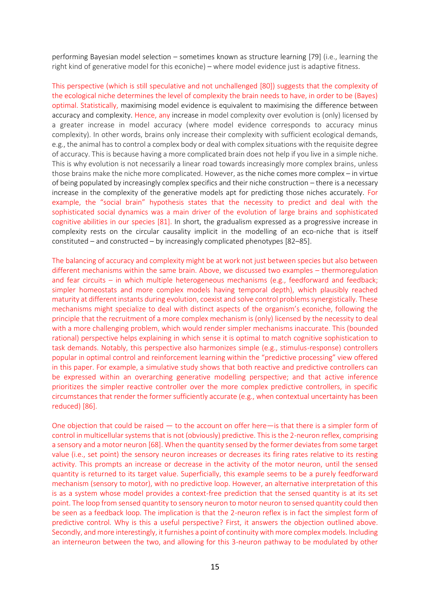performing Bayesian model selection – sometimes known as structure learning [79] (i.e., learning the right kind of generative model for this econiche) – where model evidence just is adaptive fitness.

This perspective (which is still speculative and not unchallenged [80]) suggests that the complexity of the ecological niche determines the level of complexity the brain needs to have, in order to be (Bayes) optimal. Statistically, maximising model evidence is equivalent to maximising the difference between accuracy and complexity. Hence, any increase in model complexity over evolution is (only) licensed by a greater increase in model accuracy (where model evidence corresponds to accuracy minus complexity). In other words, brains only increase their complexity with sufficient ecological demands, e.g., the animal has to control a complex body or deal with complex situations with the requisite degree of accuracy. This is because having a more complicated brain does not help if you live in a simple niche. This is why evolution is not necessarily a linear road towards increasingly more complex brains, unless those brains make the niche more complicated. However, as the niche comes more complex – in virtue of being populated by increasingly complex specifics and their niche construction – there is a necessary increase in the complexity of the generative models apt for predicting those niches accurately. For example, the "social brain" hypothesis states that the necessity to predict and deal with the sophisticated social dynamics was a main driver of the evolution of large brains and sophisticated cognitive abilities in our species [81]. In short, the gradualism expressed as a progressive increase in complexity rests on the circular causality implicit in the modelling of an eco-niche that is itself constituted – and constructed – by increasingly complicated phenotypes [82–85].

The balancing of accuracy and complexity might be at work not just between species but also between different mechanisms within the same brain. Above, we discussed two examples – thermoregulation and fear circuits – in which multiple heterogeneous mechanisms (e.g., feedforward and feedback; simpler homeostats and more complex models having temporal depth), which plausibly reached maturity at different instants during evolution, coexist and solve control problems synergistically. These mechanisms might specialize to deal with distinct aspects of the organism's econiche, following the principle that the recruitment of a more complex mechanism is (only) licensed by the necessity to deal with a more challenging problem, which would render simpler mechanisms inaccurate. This (bounded rational) perspective helps explaining in which sense it is optimal to match cognitive sophistication to task demands. Notably, this perspective also harmonizes simple (e.g., stimulus-response) controllers popular in optimal control and reinforcement learning within the "predictive processing" view offered in this paper. For example, a simulative study shows that both reactive and predictive controllers can be expressed within an overarching generative modelling perspective; and that active inference prioritizes the simpler reactive controller over the more complex predictive controllers, in specific circumstances that render the former sufficiently accurate (e.g., when contextual uncertainty has been reduced) [86].

One objection that could be raised — to the account on offer here—is that there is a simpler form of control in multicellular systems that is not (obviously) predictive. This is the 2-neuron reflex, comprising a sensory and a motor neuron [68]. When the quantity sensed by the former deviates from some target value (i.e., set point) the sensory neuron increases or decreases its firing rates relative to its resting activity. This prompts an increase or decrease in the activity of the motor neuron, until the sensed quantity is returned to its target value. Superficially, this example seems to be a purely feedforward mechanism (sensory to motor), with no predictive loop. However, an alternative interpretation of this is as a system whose model provides a context-free prediction that the sensed quantity is at its set point. The loop from sensed quantity to sensory neuron to motor neuron to sensed quantity could then be seen as a feedback loop. The implication is that the 2-neuron reflex is in fact the simplest form of predictive control. Why is this a useful perspective? First, it answers the objection outlined above. Secondly, and more interestingly, it furnishes a point of continuity with more complex models. Including an interneuron between the two, and allowing for this 3-neuron pathway to be modulated by other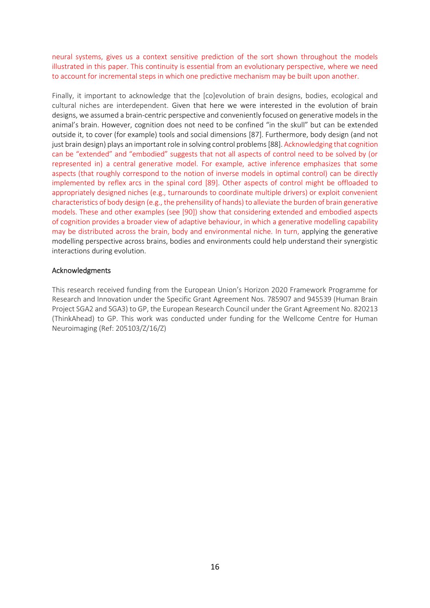neural systems, gives us a context sensitive prediction of the sort shown throughout the models illustrated in this paper. This continuity is essential from an evolutionary perspective, where we need to account for incremental steps in which one predictive mechanism may be built upon another.

Finally, it important to acknowledge that the [co]evolution of brain designs, bodies, ecological and cultural niches are interdependent. Given that here we were interested in the evolution of brain designs, we assumed a brain-centric perspective and conveniently focused on generative models in the animal's brain. However, cognition does not need to be confined "in the skull" but can be extended outside it, to cover (for example) tools and social dimensions [87]. Furthermore, body design (and not just brain design) plays an important role in solving control problems [88]. Acknowledging that cognition can be "extended" and "embodied" suggests that not all aspects of control need to be solved by (or represented in) a central generative model. For example, active inference emphasizes that some aspects (that roughly correspond to the notion of inverse models in optimal control) can be directly implemented by reflex arcs in the spinal cord [89]. Other aspects of control might be offloaded to appropriately designed niches (e.g., turnarounds to coordinate multiple drivers) or exploit convenient characteristics of body design (e.g., the prehensility of hands) to alleviate the burden of brain generative models. These and other examples (see [90]) show that considering extended and embodied aspects of cognition provides a broader view of adaptive behaviour, in which a generative modelling capability may be distributed across the brain, body and environmental niche. In turn, applying the generative modelling perspective across brains, bodies and environments could help understand their synergistic interactions during evolution.

#### Acknowledgments

This research received funding from the European Union's Horizon 2020 Framework Programme for Research and Innovation under the Specific Grant Agreement Nos. 785907 and 945539 (Human Brain Project SGA2 and SGA3) to GP, the European Research Council under the Grant Agreement No. 820213 (ThinkAhead) to GP. This work was conducted under funding for the Wellcome Centre for Human Neuroimaging (Ref: 205103/Z/16/Z)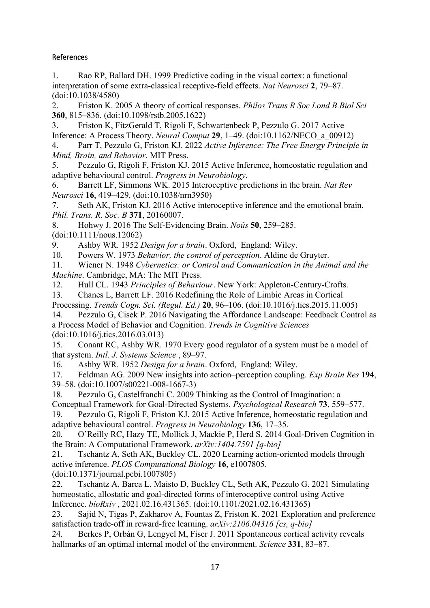# References

1. Rao RP, Ballard DH. 1999 Predictive coding in the visual cortex: a functional interpretation of some extra-classical receptive-field effects. *Nat Neurosci* **2**, 79–87. (doi:10.1038/4580)

2. Friston K. 2005 A theory of cortical responses. *Philos Trans R Soc Lond B Biol Sci* **360**, 815–836. (doi:10.1098/rstb.2005.1622)

3. Friston K, FitzGerald T, Rigoli F, Schwartenbeck P, Pezzulo G. 2017 Active Inference: A Process Theory. *Neural Comput* **29**, 1–49. (doi:10.1162/NECO\_a\_00912)

4. Parr T, Pezzulo G, Friston KJ. 2022 *Active Inference: The Free Energy Principle in Mind, Brain, and Behavior*. MIT Press.

5. Pezzulo G, Rigoli F, Friston KJ. 2015 Active Inference, homeostatic regulation and adaptive behavioural control. *Progress in Neurobiology*.

6. Barrett LF, Simmons WK. 2015 Interoceptive predictions in the brain. *Nat Rev Neurosci* **16**, 419–429. (doi:10.1038/nrn3950)

7. Seth AK, Friston KJ. 2016 Active interoceptive inference and the emotional brain. *Phil. Trans. R. Soc. B* **371**, 20160007.

8. Hohwy J. 2016 The Self-Evidencing Brain. *Noûs* **50**, 259–285.

(doi:10.1111/nous.12062)

9. Ashby WR. 1952 *Design for a brain*. Oxford, England: Wiley.

10. Powers W. 1973 *Behavior, the control of perception*. Aldine de Gruyter.

11. Wiener N. 1948 *Cybernetics: or Control and Communication in the Animal and the Machine*. Cambridge, MA: The MIT Press.

12. Hull CL. 1943 *Principles of Behaviour*. New York: Appleton-Century-Crofts.

13. Chanes L, Barrett LF. 2016 Redefining the Role of Limbic Areas in Cortical Processing. *Trends Cogn. Sci. (Regul. Ed.)* **20**, 96–106. (doi:10.1016/j.tics.2015.11.005)

14. Pezzulo G, Cisek P. 2016 Navigating the Affordance Landscape: Feedback Control as a Process Model of Behavior and Cognition. *Trends in Cognitive Sciences*

(doi:10.1016/j.tics.2016.03.013)

15. Conant RC, Ashby WR. 1970 Every good regulator of a system must be a model of that system. *Intl. J. Systems Science* , 89–97.

16. Ashby WR. 1952 *Design for a brain*. Oxford, England: Wiley.

17. Feldman AG. 2009 New insights into action–perception coupling. *Exp Brain Res* **194**, 39–58. (doi:10.1007/s00221-008-1667-3)

18. Pezzulo G, Castelfranchi C. 2009 Thinking as the Control of Imagination: a Conceptual Framework for Goal-Directed Systems. *Psychological Research* **73**, 559–577.

19. Pezzulo G, Rigoli F, Friston KJ. 2015 Active Inference, homeostatic regulation and adaptive behavioural control. *Progress in Neurobiology* **136**, 17–35.

20. O'Reilly RC, Hazy TE, Mollick J, Mackie P, Herd S. 2014 Goal-Driven Cognition in the Brain: A Computational Framework. *arXiv:1404.7591 [q-bio]*

21. Tschantz A, Seth AK, Buckley CL. 2020 Learning action-oriented models through active inference. *PLOS Computational Biology* **16**, e1007805.

(doi:10.1371/journal.pcbi.1007805)

22. Tschantz A, Barca L, Maisto D, Buckley CL, Seth AK, Pezzulo G. 2021 Simulating homeostatic, allostatic and goal-directed forms of interoceptive control using Active Inference. *bioRxiv* , 2021.02.16.431365. (doi:10.1101/2021.02.16.431365)

23. Sajid N, Tigas P, Zakharov A, Fountas Z, Friston K. 2021 Exploration and preference satisfaction trade-off in reward-free learning. *arXiv:2106.04316 [cs, q-bio]*

24. Berkes P, Orbán G, Lengyel M, Fiser J. 2011 Spontaneous cortical activity reveals hallmarks of an optimal internal model of the environment. *Science* **331**, 83–87.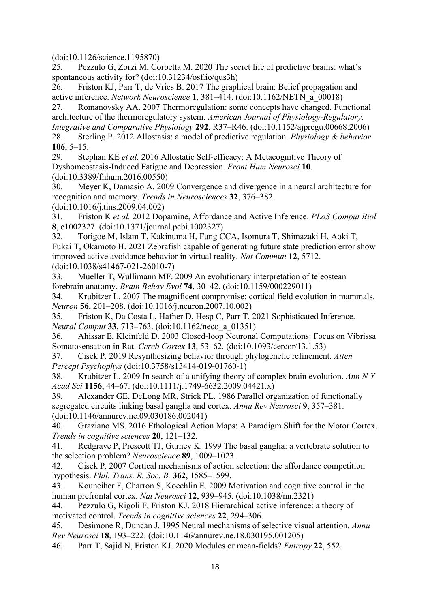(doi:10.1126/science.1195870)

25. Pezzulo G, Zorzi M, Corbetta M. 2020 The secret life of predictive brains: what's spontaneous activity for? (doi:10.31234/osf.io/qus3h)

26. Friston KJ, Parr T, de Vries B. 2017 The graphical brain: Belief propagation and active inference. *Network Neuroscience* **1**, 381–414. (doi:10.1162/NETN\_a\_00018)

27. Romanovsky AA. 2007 Thermoregulation: some concepts have changed. Functional architecture of the thermoregulatory system. *American Journal of Physiology-Regulatory, Integrative and Comparative Physiology* **292**, R37–R46. (doi:10.1152/ajpregu.00668.2006) 28. Sterling P. 2012 Allostasis: a model of predictive regulation. *Physiology & behavior* **106**, 5–15.

29. Stephan KE *et al.* 2016 Allostatic Self-efficacy: A Metacognitive Theory of Dyshomeostasis-Induced Fatigue and Depression. *Front Hum Neurosci* **10**. (doi:10.3389/fnhum.2016.00550)

30. Meyer K, Damasio A. 2009 Convergence and divergence in a neural architecture for recognition and memory. *Trends in Neurosciences* **32**, 376–382.

(doi:10.1016/j.tins.2009.04.002)

31. Friston K *et al.* 2012 Dopamine, Affordance and Active Inference. *PLoS Comput Biol* **8**, e1002327. (doi:10.1371/journal.pcbi.1002327)

32. Torigoe M, Islam T, Kakinuma H, Fung CCA, Isomura T, Shimazaki H, Aoki T, Fukai T, Okamoto H. 2021 Zebrafish capable of generating future state prediction error show improved active avoidance behavior in virtual reality. *Nat Commun* **12**, 5712. (doi:10.1038/s41467-021-26010-7)

33. Mueller T, Wullimann MF. 2009 An evolutionary interpretation of teleostean forebrain anatomy. *Brain Behav Evol* **74**, 30–42. (doi:10.1159/000229011)

34. Krubitzer L. 2007 The magnificent compromise: cortical field evolution in mammals. *Neuron* **56**, 201–208. (doi:10.1016/j.neuron.2007.10.002)

35. Friston K, Da Costa L, Hafner D, Hesp C, Parr T. 2021 Sophisticated Inference. *Neural Comput* **33**, 713–763. (doi:10.1162/neco\_a\_01351)

36. Ahissar E, Kleinfeld D. 2003 Closed-loop Neuronal Computations: Focus on Vibrissa Somatosensation in Rat. *Cereb Cortex* **13**, 53–62. (doi:10.1093/cercor/13.1.53)

37. Cisek P. 2019 Resynthesizing behavior through phylogenetic refinement. *Atten Percept Psychophys* (doi:10.3758/s13414-019-01760-1)

38. Krubitzer L. 2009 In search of a unifying theory of complex brain evolution. *Ann N Y Acad Sci* **1156**, 44–67. (doi:10.1111/j.1749-6632.2009.04421.x)

39. Alexander GE, DeLong MR, Strick PL. 1986 Parallel organization of functionally segregated circuits linking basal ganglia and cortex. *Annu Rev Neurosci* **9**, 357–381. (doi:10.1146/annurev.ne.09.030186.002041)

40. Graziano MS. 2016 Ethological Action Maps: A Paradigm Shift for the Motor Cortex. *Trends in cognitive sciences* **20**, 121–132.

41. Redgrave P, Prescott TJ, Gurney K. 1999 The basal ganglia: a vertebrate solution to the selection problem? *Neuroscience* **89**, 1009–1023.

42. Cisek P. 2007 Cortical mechanisms of action selection: the affordance competition hypothesis. *Phil. Trans. R. Soc. B.* **362**, 1585–1599.

43. Kouneiher F, Charron S, Koechlin E. 2009 Motivation and cognitive control in the human prefrontal cortex. *Nat Neurosci* **12**, 939–945. (doi:10.1038/nn.2321)

44. Pezzulo G, Rigoli F, Friston KJ. 2018 Hierarchical active inference: a theory of motivated control. *Trends in cognitive sciences* **22**, 294–306.

45. Desimone R, Duncan J. 1995 Neural mechanisms of selective visual attention. *Annu Rev Neurosci* **18**, 193–222. (doi:10.1146/annurev.ne.18.030195.001205)

46. Parr T, Sajid N, Friston KJ. 2020 Modules or mean-fields? *Entropy* **22**, 552.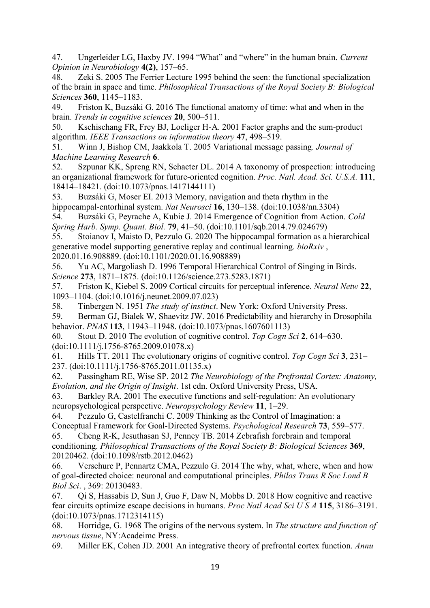47. Ungerleider LG, Haxby JV. 1994 "What" and "where" in the human brain. *Current Opinion in Neurobiology* **4(2)**, 157–65.

48. Zeki S. 2005 The Ferrier Lecture 1995 behind the seen: the functional specialization of the brain in space and time. *Philosophical Transactions of the Royal Society B: Biological Sciences* **360**, 1145–1183.

49. Friston K, Buzsáki G. 2016 The functional anatomy of time: what and when in the brain. *Trends in cognitive sciences* **20**, 500–511.

50. Kschischang FR, Frey BJ, Loeliger H-A. 2001 Factor graphs and the sum-product algorithm. *IEEE Transactions on information theory* **47**, 498–519.

51. Winn J, Bishop CM, Jaakkola T. 2005 Variational message passing. *Journal of Machine Learning Research* **6**.

52. Szpunar KK, Spreng RN, Schacter DL. 2014 A taxonomy of prospection: introducing an organizational framework for future-oriented cognition. *Proc. Natl. Acad. Sci. U.S.A.* **111**, 18414–18421. (doi:10.1073/pnas.1417144111)

53. Buzsáki G, Moser EI. 2013 Memory, navigation and theta rhythm in the hippocampal-entorhinal system. *Nat Neurosci* **16**, 130–138. (doi:10.1038/nn.3304)

54. Buzsáki G, Peyrache A, Kubie J. 2014 Emergence of Cognition from Action. *Cold Spring Harb. Symp. Quant. Biol.* **79**, 41–50. (doi:10.1101/sqb.2014.79.024679)

55. Stoianov I, Maisto D, Pezzulo G. 2020 The hippocampal formation as a hierarchical generative model supporting generative replay and continual learning. *bioRxiv* , 2020.01.16.908889. (doi:10.1101/2020.01.16.908889)

56. Yu AC, Margoliash D. 1996 Temporal Hierarchical Control of Singing in Birds. *Science* **273**, 1871–1875. (doi:10.1126/science.273.5283.1871)

57. Friston K, Kiebel S. 2009 Cortical circuits for perceptual inference. *Neural Netw* **22**, 1093–1104. (doi:10.1016/j.neunet.2009.07.023)

58. Tinbergen N. 1951 *The study of instinct*. New York: Oxford University Press.

59. Berman GJ, Bialek W, Shaevitz JW. 2016 Predictability and hierarchy in Drosophila behavior. *PNAS* **113**, 11943–11948. (doi:10.1073/pnas.1607601113)

60. Stout D. 2010 The evolution of cognitive control. *Top Cogn Sci* **2**, 614–630. (doi:10.1111/j.1756-8765.2009.01078.x)

61. Hills TT. 2011 The evolutionary origins of cognitive control. *Top Cogn Sci* **3**, 231– 237. (doi:10.1111/j.1756-8765.2011.01135.x)

62. Passingham RE, Wise SP. 2012 *The Neurobiology of the Prefrontal Cortex: Anatomy, Evolution, and the Origin of Insight*. 1st edn. Oxford University Press, USA.

63. Barkley RA. 2001 The executive functions and self-regulation: An evolutionary neuropsychological perspective. *Neuropsychology Review* **11**, 1–29.

64. Pezzulo G, Castelfranchi C. 2009 Thinking as the Control of Imagination: a Conceptual Framework for Goal-Directed Systems. *Psychological Research* **73**, 559–577.

65. Cheng R-K, Jesuthasan SJ, Penney TB. 2014 Zebrafish forebrain and temporal conditioning. *Philosophical Transactions of the Royal Society B: Biological Sciences* **369**, 20120462. (doi:10.1098/rstb.2012.0462)

66. Verschure P, Pennartz CMA, Pezzulo G. 2014 The why, what, where, when and how of goal-directed choice: neuronal and computational principles. *Philos Trans R Soc Lond B Biol Sci*. , 369: 20130483.

67. Qi S, Hassabis D, Sun J, Guo F, Daw N, Mobbs D. 2018 How cognitive and reactive fear circuits optimize escape decisions in humans. *Proc Natl Acad Sci U S A* **115**, 3186–3191. (doi:10.1073/pnas.1712314115)

68. Horridge, G. 1968 The origins of the nervous system. In *The structure and function of nervous tissue*, NY:Acadeimc Press.

69. Miller EK, Cohen JD. 2001 An integrative theory of prefrontal cortex function. *Annu*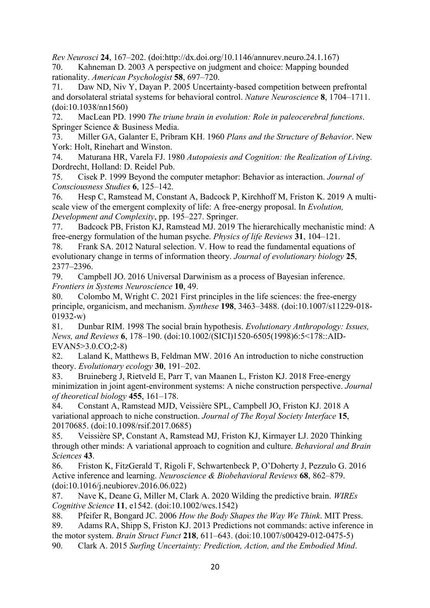*Rev Neurosci* **24**, 167–202. (doi:http://dx.doi.org/10.1146/annurev.neuro.24.1.167) 70. Kahneman D. 2003 A perspective on judgment and choice: Mapping bounded rationality. *American Psychologist* **58**, 697–720.

71. Daw ND, Niv Y, Dayan P. 2005 Uncertainty-based competition between prefrontal and dorsolateral striatal systems for behavioral control. *Nature Neuroscience* **8**, 1704–1711. (doi:10.1038/nn1560)

72. MacLean PD. 1990 *The triune brain in evolution: Role in paleocerebral functions*. Springer Science & Business Media.

73. Miller GA, Galanter E, Pribram KH. 1960 *Plans and the Structure of Behavior*. New York: Holt, Rinehart and Winston.

74. Maturana HR, Varela FJ. 1980 *Autopoiesis and Cognition: the Realization of Living*. Dordrecht, Holland: D. Reidel Pub.

75. Cisek P. 1999 Beyond the computer metaphor: Behavior as interaction. *Journal of Consciousness Studies* **6**, 125–142.

76. Hesp C, Ramstead M, Constant A, Badcock P, Kirchhoff M, Friston K. 2019 A multiscale view of the emergent complexity of life: A free-energy proposal. In *Evolution, Development and Complexity*, pp. 195–227. Springer.

77. Badcock PB, Friston KJ, Ramstead MJ. 2019 The hierarchically mechanistic mind: A free-energy formulation of the human psyche. *Physics of life Reviews* **31**, 104–121.

78. Frank SA. 2012 Natural selection. V. How to read the fundamental equations of evolutionary change in terms of information theory. *Journal of evolutionary biology* **25**, 2377–2396.

79. Campbell JO. 2016 Universal Darwinism as a process of Bayesian inference. *Frontiers in Systems Neuroscience* **10**, 49.

80. Colombo M, Wright C. 2021 First principles in the life sciences: the free-energy principle, organicism, and mechanism. *Synthese* **198**, 3463–3488. (doi:10.1007/s11229-018- 01932-w)

81. Dunbar RIM. 1998 The social brain hypothesis. *Evolutionary Anthropology: Issues, News, and Reviews* **6**, 178–190. (doi:10.1002/(SICI)1520-6505(1998)6:5<178::AID-EVAN5>3.0.CO;2-8)

82. Laland K, Matthews B, Feldman MW. 2016 An introduction to niche construction theory. *Evolutionary ecology* **30**, 191–202.

83. Bruineberg J, Rietveld E, Parr T, van Maanen L, Friston KJ. 2018 Free-energy minimization in joint agent-environment systems: A niche construction perspective. *Journal of theoretical biology* **455**, 161–178.

84. Constant A, Ramstead MJD, Veissière SPL, Campbell JO, Friston KJ. 2018 A variational approach to niche construction. *Journal of The Royal Society Interface* **15**, 20170685. (doi:10.1098/rsif.2017.0685)

85. Veissière SP, Constant A, Ramstead MJ, Friston KJ, Kirmayer LJ. 2020 Thinking through other minds: A variational approach to cognition and culture. *Behavioral and Brain Sciences* **43**.

86. Friston K, FitzGerald T, Rigoli F, Schwartenbeck P, O'Doherty J, Pezzulo G. 2016 Active inference and learning. *Neuroscience & Biobehavioral Reviews* **68**, 862–879. (doi:10.1016/j.neubiorev.2016.06.022)

87. Nave K, Deane G, Miller M, Clark A. 2020 Wilding the predictive brain. *WIREs Cognitive Science* **11**, e1542. (doi:10.1002/wcs.1542)

88. Pfeifer R, Bongard JC. 2006 *How the Body Shapes the Way We Think*. MIT Press.

89. Adams RA, Shipp S, Friston KJ. 2013 Predictions not commands: active inference in the motor system. *Brain Struct Funct* **218**, 611–643. (doi:10.1007/s00429-012-0475-5)

90. Clark A. 2015 *Surfing Uncertainty: Prediction, Action, and the Embodied Mind*.